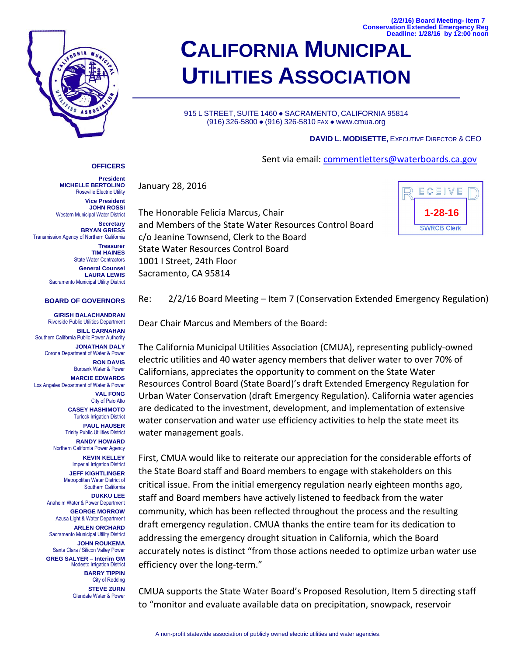**(2/2/16) Board Meeting- Item 7 Conservation Extended Emergency Reg Deadline: 1/28/16 by 12:00 noon**



## **CALIFORNIA MUNICIPAL UTILITIES ASSOCIATION**

915 L STREET, SUITE 1460 · SACRAMENTO, CALIFORNIA 95814 (916) 326-5800 ● (916) 326-5810 FAX ● www.cmua.org

## **DAVID L. MODISETTE,** EXECUTIVE DIRECTOR & CEO

Sent via email: commentletters@waterboards.ca.gov

January 28, 2016

The Honorable Felicia Marcus, Chair and Members of the State Water Resources Control Board c/o Jeanine Townsend, Clerk to the Board State Water Resources Control Board 1001 I Street, 24th Floor Sacramento, CA 95814



**President MICHELLE BERTOLINO** Roseville Electric Utility **Vice President JOHN ROSSI** Western Municipal Water District **Secretary**

**OFFICERS**

**BRYAN GRIESS** Transmission Agency of Northern California **Treasurer TIM HAINES**

State Water Contractors **General Counsel LAURA LEWIS** Sacramento Municipal Utility District

## **BOARD OF GOVERNORS**

**GIRISH BALACHANDRAN** Riverside Public Utilities Department **BILL CARNAHAN** Southern California Public Power Authority **JONATHAN DALY** Corona Department of Water & Power **RON DAVIS** Burbank Water & Power **MARCIE EDWARDS** Los Angeles Department of Water & Power **VAL FONG** City of Palo Alto **CASEY HASHIMOTO** Turlock Irrigation District **PAUL HAUSER** Trinity Public Utilities District **RANDY HOWARD** Northern California Power Agency **KEVIN KELLEY** Imperial Irrigation District **JEFF KIGHTLINGER** Metropolitan Water District of Southern California **DUKKU LEE** Anaheim Water & Power Department **GEORGE MORROW** Azusa Light & Water Department **ARLEN ORCHARD** Sacramento Municipal Utility District **JOHN ROUKEMA** Santa Clara / Silicon Valley Power **GREG SALYER – Interim GM** Modesto Irrigation District **BARRY TIPPIN** City of Redding **STEVE ZURN** Glendale Water & Power

Re: 2/2/16 Board Meeting – Item 7 (Conservation Extended Emergency Regulation)

Dear Chair Marcus and Members of the Board:

The California Municipal Utilities Association (CMUA), representing publicly-owned electric utilities and 40 water agency members that deliver water to over 70% of Californians, appreciates the opportunity to comment on the State Water Resources Control Board (State Board)'s draft Extended Emergency Regulation for Urban Water Conservation (draft Emergency Regulation). California water agencies are dedicated to the investment, development, and implementation of extensive water conservation and water use efficiency activities to help the state meet its water management goals.

First, CMUA would like to reiterate our appreciation for the considerable efforts of the State Board staff and Board members to engage with stakeholders on this critical issue. From the initial emergency regulation nearly eighteen months ago, staff and Board members have actively listened to feedback from the water community, which has been reflected throughout the process and the resulting draft emergency regulation. CMUA thanks the entire team for its dedication to addressing the emergency drought situation in California, which the Board accurately notes is distinct "from those actions needed to optimize urban water use efficiency over the long-term."

CMUA supports the State Water Board's Proposed Resolution, Item 5 directing staff to "monitor and evaluate available data on precipitation, snowpack, reservoir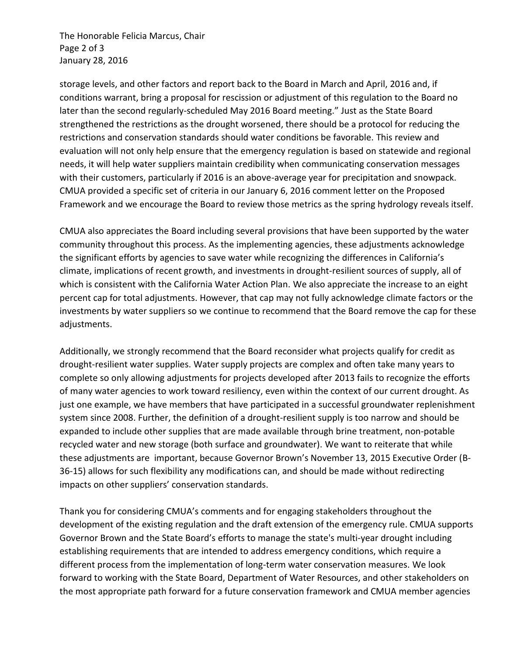The Honorable Felicia Marcus, Chair Page 2 of 3 January 28, 2016

storage levels, and other factors and report back to the Board in March and April, 2016 and, if conditions warrant, bring a proposal for rescission or adjustment of this regulation to the Board no later than the second regularly-scheduled May 2016 Board meeting." Just as the State Board strengthened the restrictions as the drought worsened, there should be a protocol for reducing the restrictions and conservation standards should water conditions be favorable. This review and evaluation will not only help ensure that the emergency regulation is based on statewide and regional needs, it will help water suppliers maintain credibility when communicating conservation messages with their customers, particularly if 2016 is an above-average year for precipitation and snowpack. CMUA provided a specific set of criteria in our January 6, 2016 comment letter on the Proposed Framework and we encourage the Board to review those metrics as the spring hydrology reveals itself.

CMUA also appreciates the Board including several provisions that have been supported by the water community throughout this process. As the implementing agencies, these adjustments acknowledge the significant efforts by agencies to save water while recognizing the differences in California's climate, implications of recent growth, and investments in drought-resilient sources of supply, all of which is consistent with the California Water Action Plan. We also appreciate the increase to an eight percent cap for total adjustments. However, that cap may not fully acknowledge climate factors or the investments by water suppliers so we continue to recommend that the Board remove the cap for these adjustments.

Additionally, we strongly recommend that the Board reconsider what projects qualify for credit as drought-resilient water supplies. Water supply projects are complex and often take many years to complete so only allowing adjustments for projects developed after 2013 fails to recognize the efforts of many water agencies to work toward resiliency, even within the context of our current drought. As just one example, we have members that have participated in a successful groundwater replenishment system since 2008. Further, the definition of a drought-resilient supply is too narrow and should be expanded to include other supplies that are made available through brine treatment, non-potable recycled water and new storage (both surface and groundwater). We want to reiterate that while these adjustments are important, because Governor Brown's November 13, 2015 Executive Order (B-36-15) allows for such flexibility any modifications can, and should be made without redirecting impacts on other suppliers' conservation standards.

Thank you for considering CMUA's comments and for engaging stakeholders throughout the development of the existing regulation and the draft extension of the emergency rule. CMUA supports Governor Brown and the State Board's efforts to manage the state's multi-year drought including establishing requirements that are intended to address emergency conditions, which require a different process from the implementation of long-term water conservation measures. We look forward to working with the State Board, Department of Water Resources, and other stakeholders on the most appropriate path forward for a future conservation framework and CMUA member agencies